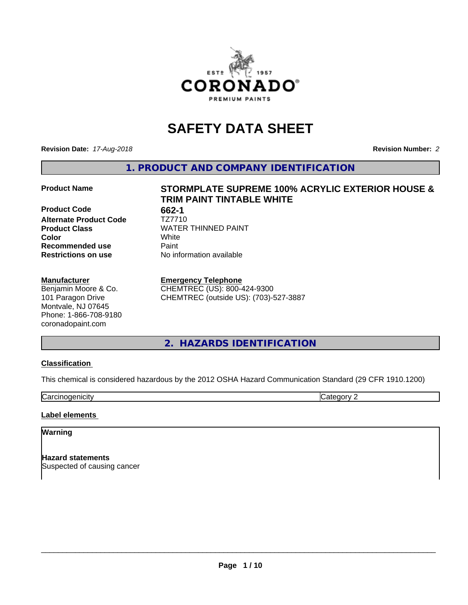

# **SAFETY DATA SHEET**

**Revision Date:** *17-Aug-2018* **Revision Number:** *2*

**1. PRODUCT AND COMPANY IDENTIFICATION**

**Product Code** 662-1<br> **Alternate Product Code** 7Z7710 **Alternate Product Code Recommended use Caint Restrictions on use** No information available

#### **Manufacturer**

Benjamin Moore & Co. 101 Paragon Drive Montvale, NJ 07645 Phone: 1-866-708-9180 coronadopaint.com

# **Product Name STORMPLATE SUPREME 100% ACRYLIC EXTERIOR HOUSE & TRIM PAINT TINTABLE WHITE Product Class**<br>
Color<br>
White<br>
White **Color** White

**Emergency Telephone**

CHEMTREC (US): 800-424-9300 CHEMTREC (outside US): (703)-527-3887

**2. HAZARDS IDENTIFICATION**

# **Classification**

This chemical is considered hazardous by the 2012 OSHA Hazard Communication Standard (29 CFR 1910.1200)

**Carcinogenicity** Category 2

#### **Label elements**

#### **Warning**

**Hazard statements** Suspected of causing cancer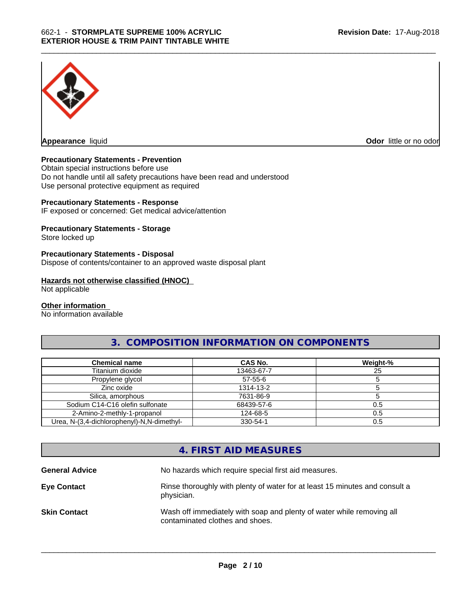

**Appearance** liquid **Odor in the original of the original of the original of the original of the original of the original of the original of the original of the original of the original of the original of the original of t** 

### **Precautionary Statements - Prevention**

Obtain special instructions before use Do not handle until all safety precautions have been read and understood Use personal protective equipment as required

#### **Precautionary Statements - Response**

IF exposed or concerned: Get medical advice/attention

### **Precautionary Statements - Storage**

Store locked up

#### **Precautionary Statements - Disposal**

Dispose of contents/container to an approved waste disposal plant

#### **Hazards not otherwise classified (HNOC)**

Not applicable

#### **Other information**

No information available

# **3. COMPOSITION INFORMATION ON COMPONENTS**

| <b>Chemical name</b>                       | CAS No.       | Weight-% |
|--------------------------------------------|---------------|----------|
| Titanium dioxide                           | 13463-67-7    | 25       |
| Propylene glycol                           | $57 - 55 - 6$ |          |
| Zinc oxide                                 | 1314-13-2     |          |
| Silica, amorphous                          | 7631-86-9     |          |
| Sodium C14-C16 olefin sulfonate            | 68439-57-6    | 0.5      |
| 2-Amino-2-methly-1-propanol                | 124-68-5      | 0.5      |
| Urea, N-(3,4-dichlorophenyl)-N,N-dimethyl- | 330-54-1      | 0.5      |

# **4. FIRST AID MEASURES**

| <b>General Advice</b> | No hazards which require special first aid measures.                                                     |
|-----------------------|----------------------------------------------------------------------------------------------------------|
| <b>Eye Contact</b>    | Rinse thoroughly with plenty of water for at least 15 minutes and consult a<br>physician.                |
| <b>Skin Contact</b>   | Wash off immediately with soap and plenty of water while removing all<br>contaminated clothes and shoes. |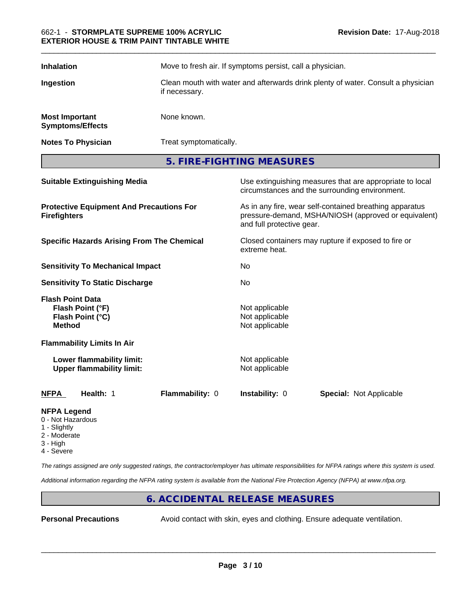| <b>Inhalation</b>                                | Move to fresh air. If symptoms persist, call a physician.                                         |
|--------------------------------------------------|---------------------------------------------------------------------------------------------------|
| Ingestion                                        | Clean mouth with water and afterwards drink plenty of water. Consult a physician<br>if necessary. |
| <b>Most Important</b><br><b>Symptoms/Effects</b> | None known.                                                                                       |
| <b>Notes To Physician</b>                        | Treat symptomatically.                                                                            |

**5. FIRE-FIGHTING MEASURES**

| <b>Suitable Extinguishing Media</b>                                              | Use extinguishing measures that are appropriate to local<br>circumstances and the surrounding environment.                                   |
|----------------------------------------------------------------------------------|----------------------------------------------------------------------------------------------------------------------------------------------|
| <b>Protective Equipment And Precautions For</b><br><b>Firefighters</b>           | As in any fire, wear self-contained breathing apparatus<br>pressure-demand, MSHA/NIOSH (approved or equivalent)<br>and full protective gear. |
| <b>Specific Hazards Arising From The Chemical</b>                                | Closed containers may rupture if exposed to fire or<br>extreme heat.                                                                         |
| <b>Sensitivity To Mechanical Impact</b>                                          | No                                                                                                                                           |
| <b>Sensitivity To Static Discharge</b>                                           | No                                                                                                                                           |
| <b>Flash Point Data</b><br>Flash Point (°F)<br>Flash Point (°C)<br><b>Method</b> | Not applicable<br>Not applicable<br>Not applicable                                                                                           |
| <b>Flammability Limits In Air</b>                                                |                                                                                                                                              |
| Lower flammability limit:<br><b>Upper flammability limit:</b>                    | Not applicable<br>Not applicable                                                                                                             |
| <b>NFPA</b><br>Health: 1<br>Flammability: 0                                      | <b>Instability: 0</b><br><b>Special: Not Applicable</b>                                                                                      |
|                                                                                  |                                                                                                                                              |

### **NFPA Legend**

- 0 Not Hazardous
- 1 Slightly
- 2 Moderate
- 3 High
- 4 Severe

*The ratings assigned are only suggested ratings, the contractor/employer has ultimate responsibilities for NFPA ratings where this system is used.*

*Additional information regarding the NFPA rating system is available from the National Fire Protection Agency (NFPA) at www.nfpa.org.*

# **6. ACCIDENTAL RELEASE MEASURES**

**Personal Precautions** Avoid contact with skin, eyes and clothing. Ensure adequate ventilation.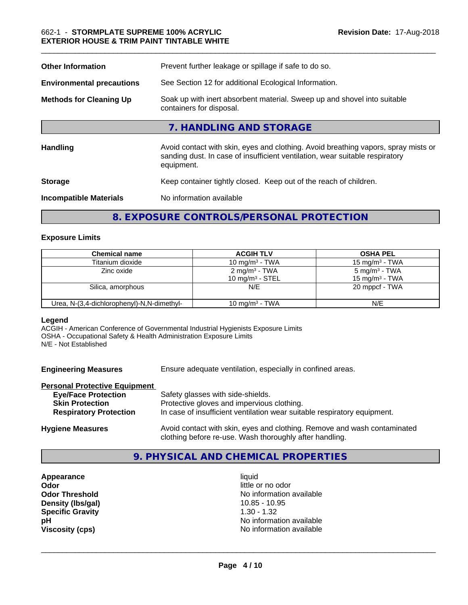| <b>Other Information</b>         | Prevent further leakage or spillage if safe to do so.                                                                                                                            |  |
|----------------------------------|----------------------------------------------------------------------------------------------------------------------------------------------------------------------------------|--|
| <b>Environmental precautions</b> | See Section 12 for additional Ecological Information.                                                                                                                            |  |
| <b>Methods for Cleaning Up</b>   | Soak up with inert absorbent material. Sweep up and shovel into suitable<br>containers for disposal.                                                                             |  |
|                                  | 7. HANDLING AND STORAGE                                                                                                                                                          |  |
| <b>Handling</b>                  | Avoid contact with skin, eyes and clothing. Avoid breathing vapors, spray mists or<br>sanding dust. In case of insufficient ventilation, wear suitable respiratory<br>equipment. |  |
| <b>Storage</b>                   | Keep container tightly closed. Keep out of the reach of children.                                                                                                                |  |
| <b>Incompatible Materials</b>    | No information available                                                                                                                                                         |  |
|                                  |                                                                                                                                                                                  |  |

# **8. EXPOSURE CONTROLS/PERSONAL PROTECTION**

### **Exposure Limits**

| <b>Chemical name</b>                       | <b>ACGIH TLV</b>          | <b>OSHA PEL</b>           |
|--------------------------------------------|---------------------------|---------------------------|
| Titanium dioxide                           | 10 mg/m $3$ - TWA         | 15 mg/m $3$ - TWA         |
| Zinc oxide                                 | 2 mg/m <sup>3</sup> - TWA | 5 mg/m <sup>3</sup> - TWA |
|                                            | 10 mg/m $3$ - STEL        | $15 \text{ mg/m}^3$ - TWA |
| Silica, amorphous                          | N/E                       | 20 mppcf - TWA            |
| Urea, N-(3,4-dichlorophenyl)-N,N-dimethyl- | 10 mg/m $3$ - TWA         | N/E                       |

#### **Legend**

ACGIH - American Conference of Governmental Industrial Hygienists Exposure Limits OSHA - Occupational Safety & Health Administration Exposure Limits N/E - Not Established

**Engineering Measures** Ensure adequate ventilation, especially in confined areas.

#### **Personal Protective Equipment**

| <b>Eye/Face Protection</b>    | Safety glasses with side-shields.                                                                                                   |
|-------------------------------|-------------------------------------------------------------------------------------------------------------------------------------|
| <b>Skin Protection</b>        | Protective gloves and impervious clothing.                                                                                          |
| <b>Respiratory Protection</b> | In case of insufficient ventilation wear suitable respiratory equipment.                                                            |
| <b>Hygiene Measures</b>       | Avoid contact with skin, eyes and clothing. Remove and wash contaminated<br>clothing before re-use. Wash thoroughly after handling. |

# **9. PHYSICAL AND CHEMICAL PROPERTIES**

**Appearance** liquid **Odor** little or no odor **Density (Ibs/gal)** 10.85 - 10.95<br> **Specific Gravity** 1.30 - 1.32 **Specific Gravity** 

**Odor Threshold**<br> **Density (Ibs/gal)**<br> **Density (Ibs/gal)**<br> **No information available**<br>
10.85 - 10.95 **pH** No information available **Viscosity (cps)** No information available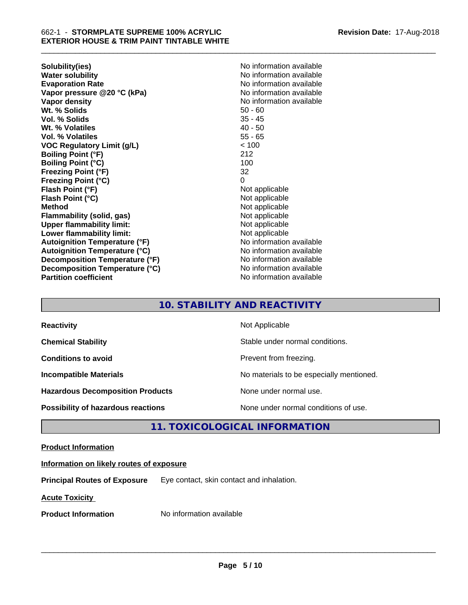**Solubility(ies)** No information available **Evaporation Rate Evaporation Rate No information available Vapor pressure @20 °C (kPa)** No information available **Vapor density No information available No information available Wt. % Solids** 50 - 60 **Vol. % Solids** 35 - 45 Wt. % Volatiles **Vol. % Volatiles** 55 - 65 **VOC Regulatory Limit (g/L)** < 100 **Boiling Point (°F)** 212 **Boiling Point (°C)** 100 **Freezing Point (°F)** 32 **Freezing Point (°C)** 0 **Flash Point (°F)** Not applicable **Flash Point (°C)** Not applicable **Method** Not applicable **Flammability (solid, gas)** Not applicable **Upper flammability limit:**<br> **Lower flammability limit:**<br>
Not applicable<br>
Not applicable **Lower flammability limit: Autoignition Temperature (°F)** No information available **Autoignition Temperature (°C)** No information available **Decomposition Temperature (°F)** No information available **Decomposition Temperature (°C)** No information available **Partition coefficient CONSTRANSISTS No information available** 

**No information available** 

\_\_\_\_\_\_\_\_\_\_\_\_\_\_\_\_\_\_\_\_\_\_\_\_\_\_\_\_\_\_\_\_\_\_\_\_\_\_\_\_\_\_\_\_\_\_\_\_\_\_\_\_\_\_\_\_\_\_\_\_\_\_\_\_\_\_\_\_\_\_\_\_\_\_\_\_\_\_\_\_\_\_\_\_\_\_\_\_\_\_\_\_\_

# **10. STABILITY AND REACTIVITY**

| <b>Reactivity</b>                       | Not Applicable                           |
|-----------------------------------------|------------------------------------------|
| <b>Chemical Stability</b>               | Stable under normal conditions.          |
| <b>Conditions to avoid</b>              | Prevent from freezing.                   |
| <b>Incompatible Materials</b>           | No materials to be especially mentioned. |
| <b>Hazardous Decomposition Products</b> | None under normal use.                   |
| Possibility of hazardous reactions      | None under normal conditions of use.     |

# **11. TOXICOLOGICAL INFORMATION**

# **Product Information**

# **Information on likely routes of exposure**

**Principal Routes of Exposure** Eye contact, skin contact and inhalation.

**Acute Toxicity** 

**Product Information** No information available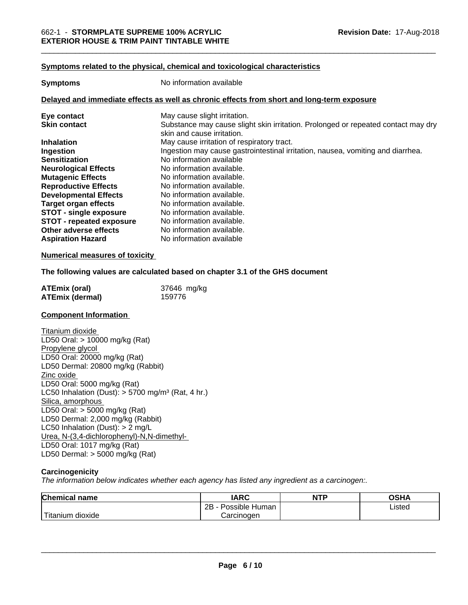#### **Symptoms related to the physical, chemical and toxicological characteristics**

| <b>Symptoms</b>                 | No information available                                                                                        |
|---------------------------------|-----------------------------------------------------------------------------------------------------------------|
|                                 | Delayed and immediate effects as well as chronic effects from short and long-term exposure                      |
| Eye contact                     | May cause slight irritation.                                                                                    |
| <b>Skin contact</b>             | Substance may cause slight skin irritation. Prolonged or repeated contact may dry<br>skin and cause irritation. |
| <b>Inhalation</b>               | May cause irritation of respiratory tract.                                                                      |
| Ingestion                       | Ingestion may cause gastrointestinal irritation, nausea, vomiting and diarrhea.                                 |
| <b>Sensitization</b>            | No information available                                                                                        |
| <b>Neurological Effects</b>     | No information available.                                                                                       |
| <b>Mutagenic Effects</b>        | No information available.                                                                                       |
| <b>Reproductive Effects</b>     | No information available.                                                                                       |
| <b>Developmental Effects</b>    | No information available.                                                                                       |
| <b>Target organ effects</b>     | No information available.                                                                                       |
| <b>STOT - single exposure</b>   | No information available.                                                                                       |
| <b>STOT - repeated exposure</b> | No information available.                                                                                       |
| Other adverse effects           | No information available.                                                                                       |
| <b>Aspiration Hazard</b>        | No information available                                                                                        |

#### **Numerical measures of toxicity**

#### **The following values are calculated based on chapter 3.1 of the GHS document**

| ATEmix (oral)          | 37646 mg/kg |
|------------------------|-------------|
| <b>ATEmix (dermal)</b> | 159776      |

#### **Component Information**

Titanium dioxide LD50 Oral: > 10000 mg/kg (Rat) Propylene glycol LD50 Oral: 20000 mg/kg (Rat) LD50 Dermal: 20800 mg/kg (Rabbit) Zinc oxide LD50 Oral: 5000 mg/kg (Rat) LC50 Inhalation (Dust):  $> 5700$  mg/m<sup>3</sup> (Rat, 4 hr.) Silica, amorphous LD50 Oral: > 5000 mg/kg (Rat) LD50 Dermal: 2,000 mg/kg (Rabbit) LC50 Inhalation (Dust): > 2 mg/L Urea, N-(3,4-dichlorophenyl)-N,N-dimethyl- LD50 Oral: 1017 mg/kg (Rat) LD50 Dermal: > 5000 mg/kg (Rat)

#### **Carcinogenicity**

*The information below indicateswhether each agency has listed any ingredient as a carcinogen:.*

| <b>Chemical name</b>              | <b>IARC</b>               | <b>NTP</b> | <b>OSHA</b> |
|-----------------------------------|---------------------------|------------|-------------|
|                                   | .<br>2B<br>Possible Human |            | Listed      |
| .<br>ı dioxide<br><b>Titanium</b> | Carcinogen                |            |             |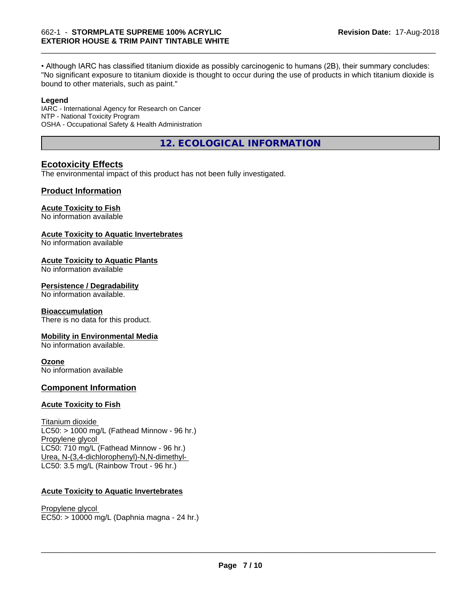• Although IARC has classified titanium dioxide as possibly carcinogenic to humans (2B), their summary concludes: "No significant exposure to titanium dioxide is thought to occur during the use of products in which titanium dioxide is bound to other materials, such as paint."

#### **Legend**

IARC - International Agency for Research on Cancer NTP - National Toxicity Program OSHA - Occupational Safety & Health Administration

**12. ECOLOGICAL INFORMATION**

# **Ecotoxicity Effects**

The environmental impact of this product has not been fully investigated.

# **Product Information**

#### **Acute Toxicity to Fish**

No information available

### **Acute Toxicity to Aquatic Invertebrates**

No information available

#### **Acute Toxicity to Aquatic Plants**

No information available

#### **Persistence / Degradability**

No information available.

#### **Bioaccumulation**

There is no data for this product.

#### **Mobility in Environmental Media**

No information available.

#### **Ozone**

No information available

# **Component Information**

#### **Acute Toxicity to Fish**

Titanium dioxide  $LC50:$  > 1000 mg/L (Fathead Minnow - 96 hr.) Propylene glycol LC50: 710 mg/L (Fathead Minnow - 96 hr.) Urea, N-(3,4-dichlorophenyl)-N,N-dimethyl- LC50: 3.5 mg/L (Rainbow Trout - 96 hr.)

# **Acute Toxicity to Aquatic Invertebrates**

Propylene glycol EC50: > 10000 mg/L (Daphnia magna - 24 hr.)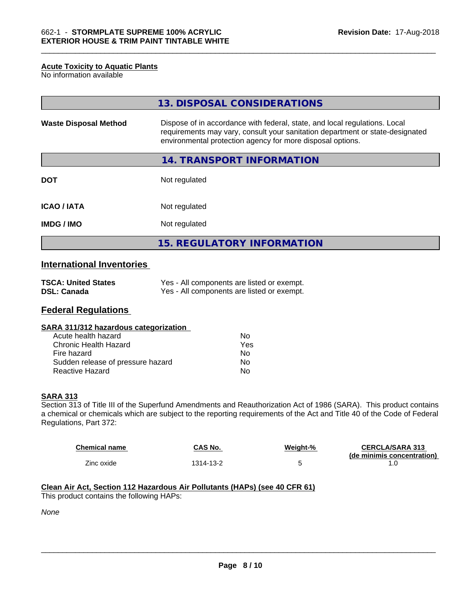#### **Acute Toxicity to Aquatic Plants**

No information available

|                              | 13. DISPOSAL CONSIDERATIONS                                                                                                                                                                                               |
|------------------------------|---------------------------------------------------------------------------------------------------------------------------------------------------------------------------------------------------------------------------|
| <b>Waste Disposal Method</b> | Dispose of in accordance with federal, state, and local regulations. Local<br>requirements may vary, consult your sanitation department or state-designated<br>environmental protection agency for more disposal options. |
|                              | 14. TRANSPORT INFORMATION                                                                                                                                                                                                 |
| <b>DOT</b>                   | Not regulated                                                                                                                                                                                                             |
| <b>ICAO/IATA</b>             | Not regulated                                                                                                                                                                                                             |
| <b>IMDG/IMO</b>              | Not regulated                                                                                                                                                                                                             |
|                              | <b>15. REGULATORY INFORMATION</b>                                                                                                                                                                                         |

# **International Inventories**

| <b>TSCA: United States</b> | Yes - All components are listed or exempt. |
|----------------------------|--------------------------------------------|
| <b>DSL: Canada</b>         | Yes - All components are listed or exempt. |

# **Federal Regulations**

### **SARA 311/312 hazardous categorization**

| Acute health hazard               | Nο  |
|-----------------------------------|-----|
| Chronic Health Hazard             | Yes |
| Fire hazard                       | Nο  |
| Sudden release of pressure hazard | Nο  |
| Reactive Hazard                   | N٥  |

#### **SARA 313**

Section 313 of Title III of the Superfund Amendments and Reauthorization Act of 1986 (SARA). This product contains a chemical or chemicals which are subject to the reporting requirements of the Act and Title 40 of the Code of Federal Regulations, Part 372:

| <b>Chemical name</b> | CAS No.   | Weight-% | <b>CERCLA/SARA 313</b>     |
|----------------------|-----------|----------|----------------------------|
| Zinc oxide           | 1314-13-2 |          | (de minimis concentration) |

# **Clean Air Act,Section 112 Hazardous Air Pollutants (HAPs) (see 40 CFR 61)**

This product contains the following HAPs:

*None*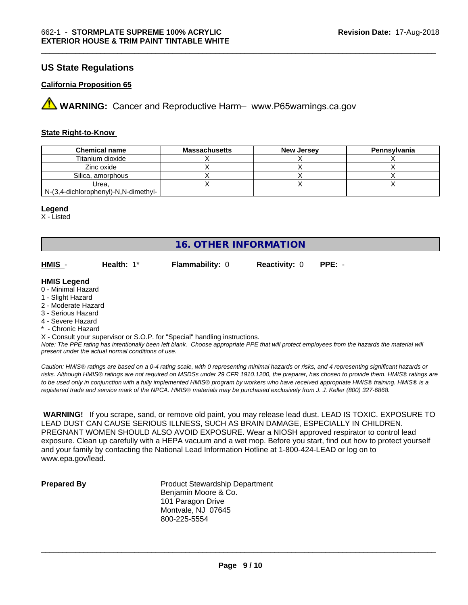# **US State Regulations**

#### **California Proposition 65**

**A** WARNING: Cancer and Reproductive Harm– www.P65warnings.ca.gov

#### **State Right-to-Know**

| <b>Chemical name</b>                 | <b>Massachusetts</b> | <b>New Jersey</b> | Pennsylvania |
|--------------------------------------|----------------------|-------------------|--------------|
| Titanium dioxide                     |                      |                   |              |
| Zinc oxide                           |                      |                   |              |
| Silica, amorphous                    |                      |                   |              |
| Urea,                                |                      |                   |              |
| N-(3,4-dichlorophenyl)-N,N-dimethyl- |                      |                   |              |

#### **Legend**

X - Listed

**16. OTHER INFORMATION**

**HMIS** - **Health:** 1\* **Flammability:** 0 **Reactivity:** 0 **PPE:** -

#### **HMIS Legend**

- 0 Minimal Hazard
- 1 Slight Hazard
- 2 Moderate Hazard
- 3 Serious Hazard
- 4 Severe Hazard
- \* Chronic Hazard

X - Consult your supervisor or S.O.P. for "Special" handling instructions.

*Note: The PPE rating has intentionally been left blank. Choose appropriate PPE that will protect employees from the hazards the material will present under the actual normal conditions of use.*

*Caution: HMISÒ ratings are based on a 0-4 rating scale, with 0 representing minimal hazards or risks, and 4 representing significant hazards or risks. Although HMISÒ ratings are not required on MSDSs under 29 CFR 1910.1200, the preparer, has chosen to provide them. HMISÒ ratings are to be used only in conjunction with a fully implemented HMISÒ program by workers who have received appropriate HMISÒ training. HMISÒ is a registered trade and service mark of the NPCA. HMISÒ materials may be purchased exclusively from J. J. Keller (800) 327-6868.*

 **WARNING!** If you scrape, sand, or remove old paint, you may release lead dust. LEAD IS TOXIC. EXPOSURE TO LEAD DUST CAN CAUSE SERIOUS ILLNESS, SUCH AS BRAIN DAMAGE, ESPECIALLY IN CHILDREN. PREGNANT WOMEN SHOULD ALSO AVOID EXPOSURE.Wear a NIOSH approved respirator to control lead exposure. Clean up carefully with a HEPA vacuum and a wet mop. Before you start, find out how to protect yourself and your family by contacting the National Lead Information Hotline at 1-800-424-LEAD or log on to www.epa.gov/lead.

**Prepared By** Product Stewardship Department Benjamin Moore & Co. 101 Paragon Drive Montvale, NJ 07645 800-225-5554